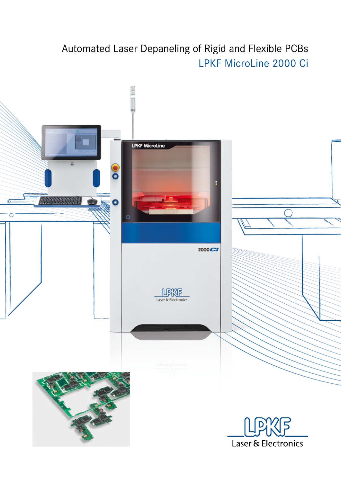# Automated Laser Depaneling of Rigid and Flexible PCBs LPKF MicroLine 2000 Ci